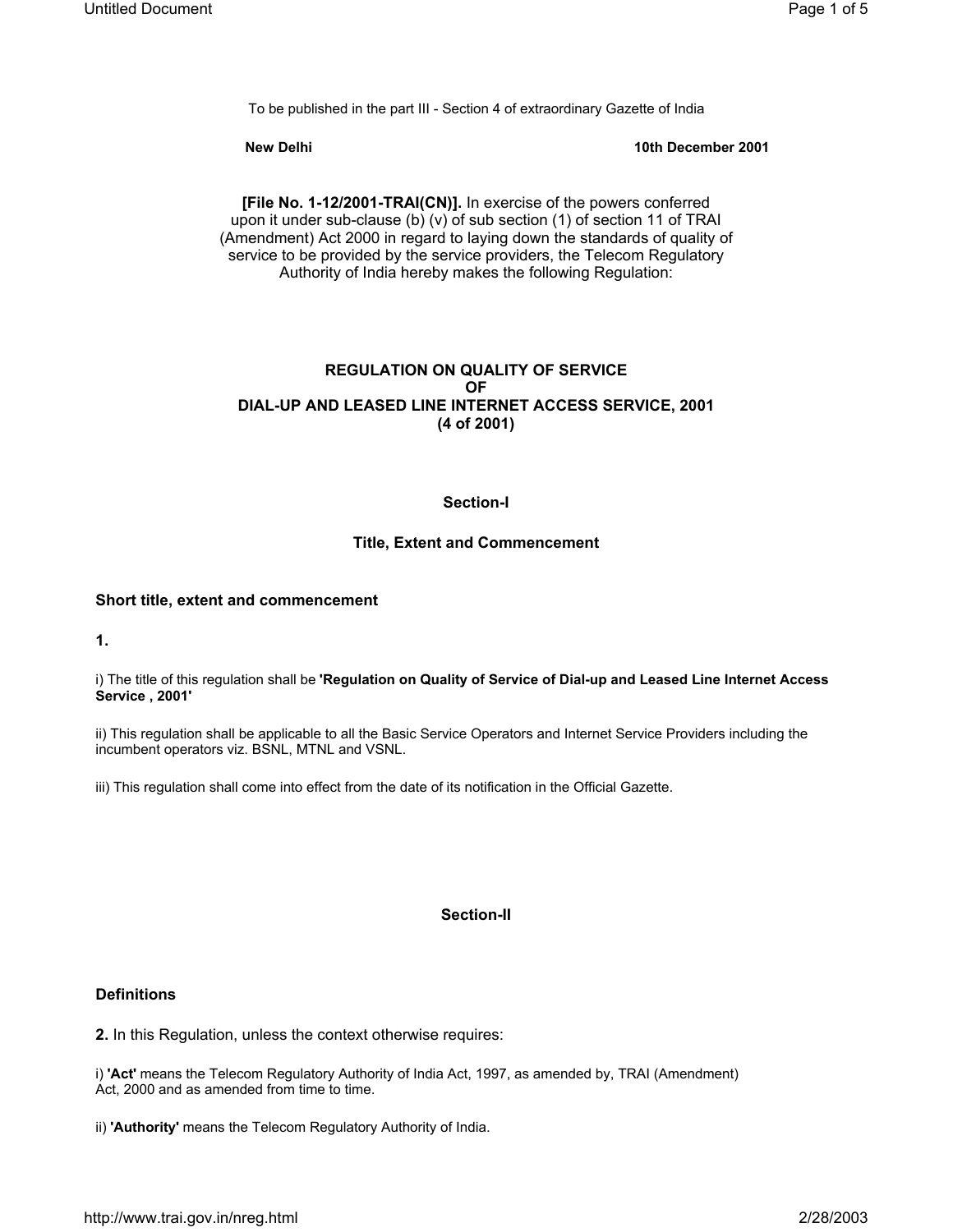To be published in the part III - Section 4 of extraordinary Gazette of India

**New Delhi** 10th December 2001 **10th December 2001** 

**[File No. 1-12/2001-TRAI(CN)].** In exercise of the powers conferred upon it under sub-clause (b) (v) of sub section (1) of section 11 of TRAI (Amendment) Act 2000 in regard to laying down the standards of quality of service to be provided by the service providers, the Telecom Regulatory Authority of India hereby makes the following Regulation:

# **REGULATION ON QUALITY OF SERVICE OF DIAL-UP AND LEASED LINE INTERNET ACCESS SERVICE, 2001 (4 of 2001)**

# **Section-I**

# **Title, Extent and Commencement**

# **Short title, extent and commencement**

**1.**

i) The title of this regulation shall be **'Regulation on Quality of Service of Dial-up and Leased Line Internet Access Service , 2001'**

ii) This regulation shall be applicable to all the Basic Service Operators and Internet Service Providers including the incumbent operators viz. BSNL, MTNL and VSNL.

iii) This regulation shall come into effect from the date of its notification in the Official Gazette.

# **Section-II**

# **Definitions**

**2.** In this Regulation, unless the context otherwise requires:

i) **'Act'** means the Telecom Regulatory Authority of India Act, 1997, as amended by, TRAI (Amendment) Act, 2000 and as amended from time to time.

ii) **'Authority'** means the Telecom Regulatory Authority of India.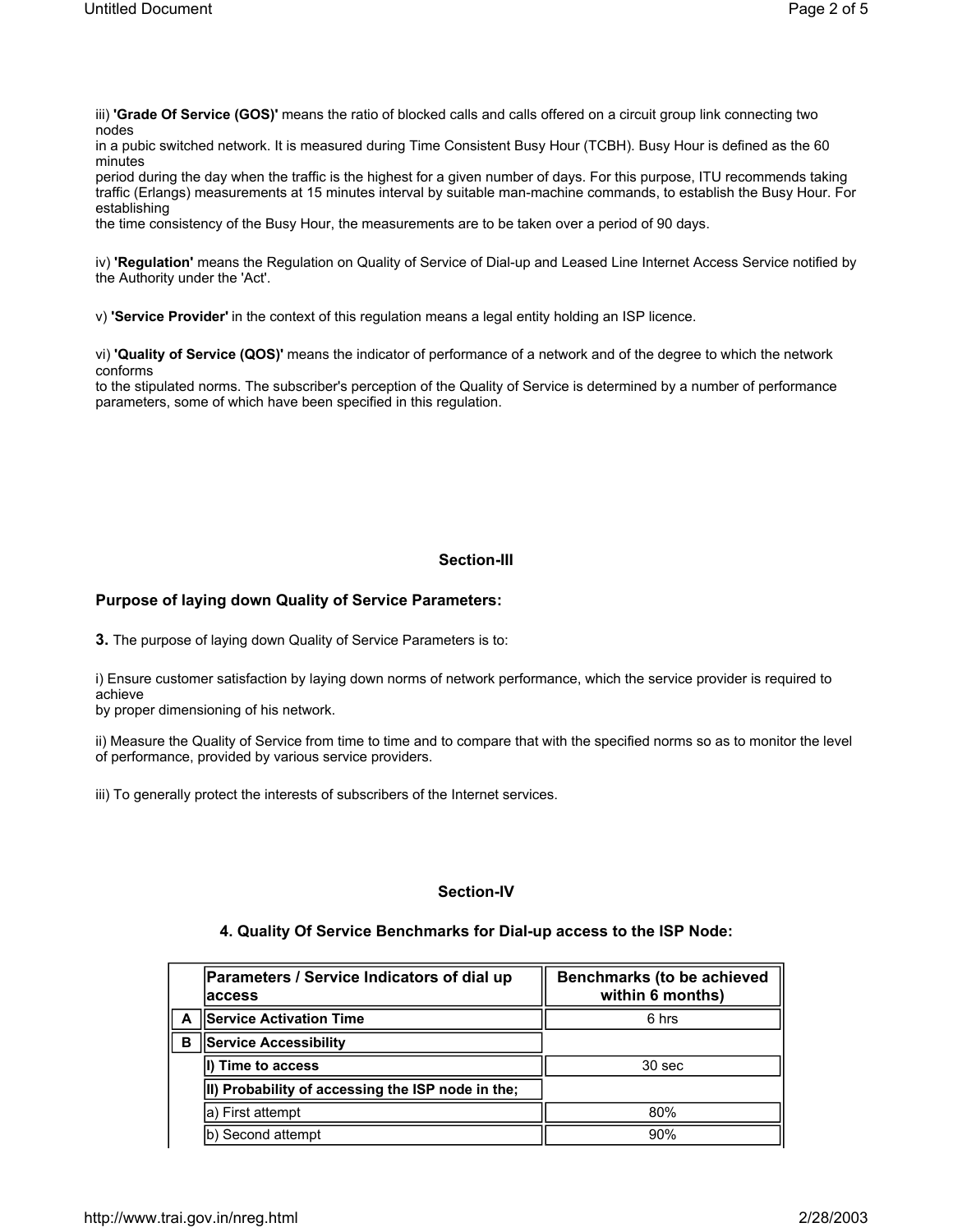iii) **'Grade Of Service (GOS)'** means the ratio of blocked calls and calls offered on a circuit group link connecting two nodes

in a pubic switched network. It is measured during Time Consistent Busy Hour (TCBH). Busy Hour is defined as the 60 minutes

period during the day when the traffic is the highest for a given number of days. For this purpose, ITU recommends taking traffic (Erlangs) measurements at 15 minutes interval by suitable man-machine commands, to establish the Busy Hour. For establishing

the time consistency of the Busy Hour, the measurements are to be taken over a period of 90 days.

iv) **'Regulation'** means the Regulation on Quality of Service of Dial-up and Leased Line Internet Access Service notified by the Authority under the 'Act'.

v) **'Service Provider'** in the context of this regulation means a legal entity holding an ISP licence.

vi) **'Quality of Service (QOS)'** means the indicator of performance of a network and of the degree to which the network conforms

to the stipulated norms. The subscriber's perception of the Quality of Service is determined by a number of performance parameters, some of which have been specified in this regulation.

# **Section-III**

# **Purpose of laying down Quality of Service Parameters:**

**3.** The purpose of laying down Quality of Service Parameters is to:

i) Ensure customer satisfaction by laying down norms of network performance, which the service provider is required to achieve

by proper dimensioning of his network.

ii) Measure the Quality of Service from time to time and to compare that with the specified norms so as to monitor the level of performance, provided by various service providers.

iii) To generally protect the interests of subscribers of the Internet services.

# **Section-IV**

#### **4. Quality Of Service Benchmarks for Dial-up access to the ISP Node:**

|   | Parameters / Service Indicators of dial up<br>laccess | Benchmarks (to be achieved<br>within 6 months) |
|---|-------------------------------------------------------|------------------------------------------------|
|   | <b>Service Activation Time</b>                        | 6 hrs                                          |
| B | <b>Service Accessibility</b>                          |                                                |
|   | II) Time to access                                    | 30 sec                                         |
|   | II) Probability of accessing the ISP node in the;     |                                                |
|   | la) First attempt                                     | 80%                                            |
|   | b) Second attempt                                     | 90%                                            |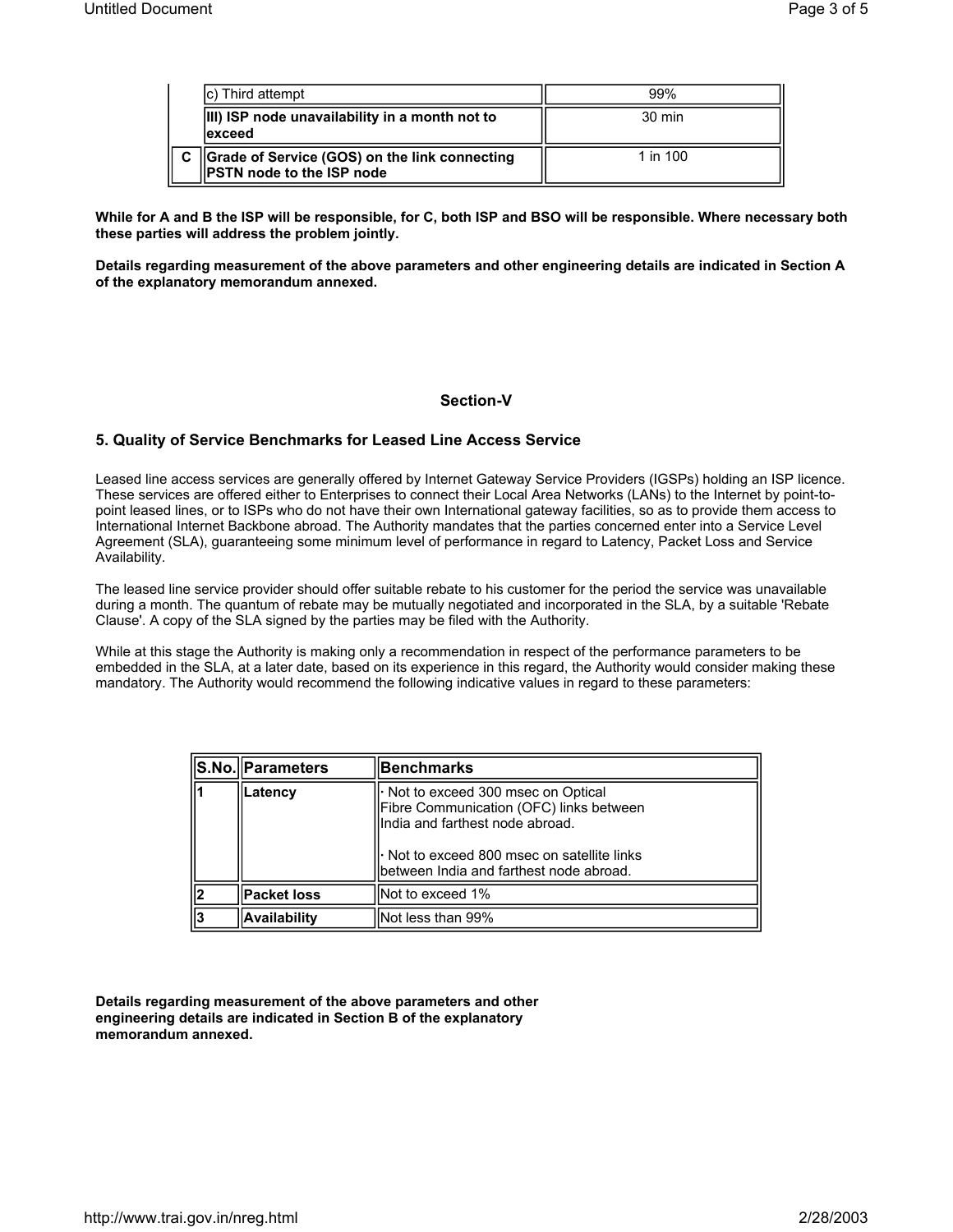|              | c) Third attempt                                                                   | 99%              |
|--------------|------------------------------------------------------------------------------------|------------------|
|              | <b>III) ISP node unavailability in a month not to</b><br>lexceed                   | $30 \text{ min}$ |
| $\mathbf{C}$ | Grade of Service (GOS) on the link connecting<br><b>IPSTN node to the ISP node</b> | 1 in $100$       |

**While for A and B the ISP will be responsible, for C, both ISP and BSO will be responsible. Where necessary both these parties will address the problem jointly.**

**Details regarding measurement of the above parameters and other engineering details are indicated in Section A of the explanatory memorandum annexed.**

#### **Section-V**

# **5. Quality of Service Benchmarks for Leased Line Access Service**

Leased line access services are generally offered by Internet Gateway Service Providers (IGSPs) holding an ISP licence. These services are offered either to Enterprises to connect their Local Area Networks (LANs) to the Internet by point-topoint leased lines, or to ISPs who do not have their own International gateway facilities, so as to provide them access to International Internet Backbone abroad. The Authority mandates that the parties concerned enter into a Service Level Agreement (SLA), guaranteeing some minimum level of performance in regard to Latency, Packet Loss and Service Availability.

The leased line service provider should offer suitable rebate to his customer for the period the service was unavailable during a month. The quantum of rebate may be mutually negotiated and incorporated in the SLA, by a suitable 'Rebate Clause'. A copy of the SLA signed by the parties may be filed with the Authority.

While at this stage the Authority is making only a recommendation in respect of the performance parameters to be embedded in the SLA, at a later date, based on its experience in this regard, the Authority would consider making these mandatory. The Authority would recommend the following indicative values in regard to these parameters:

| S.No. Parameters   | Benchmarks                                                                                                                                                                                                              |
|--------------------|-------------------------------------------------------------------------------------------------------------------------------------------------------------------------------------------------------------------------|
| Latency            | $\cdot$ Not to exceed 300 msec on Optical<br>Fibre Communication (OFC) links between<br>India and farthest node abroad.<br>$\cdot$ Not to exceed 800 msec on satellite links<br>between India and farthest node abroad. |
| <b>Packet loss</b> | lNot to exceed 1%                                                                                                                                                                                                       |
| Availability       | Not less than 99%                                                                                                                                                                                                       |

**Details regarding measurement of the above parameters and other engineering details are indicated in Section B of the explanatory memorandum annexed.**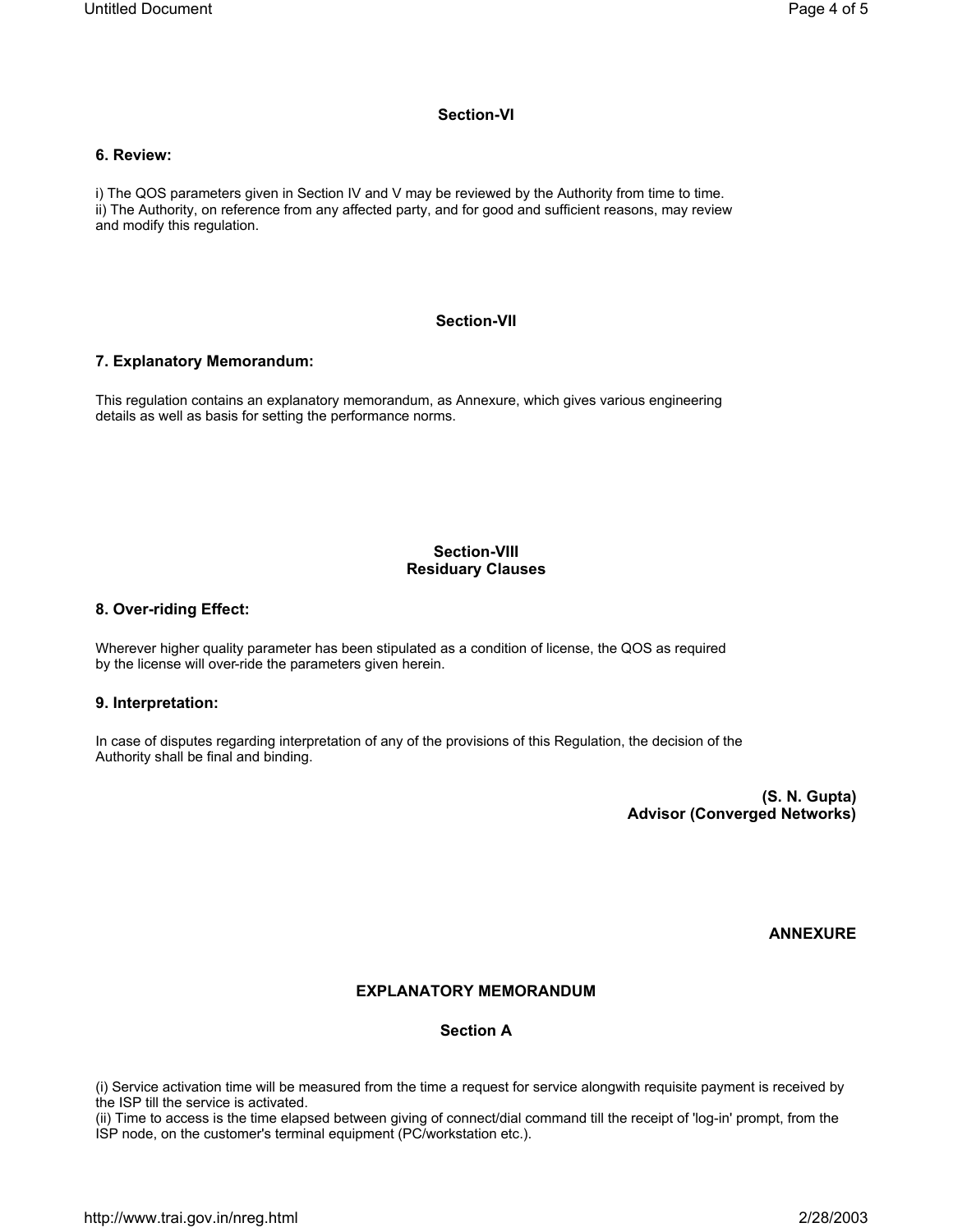## **Section-VI**

#### **6. Review:**

i) The QOS parameters given in Section IV and V may be reviewed by the Authority from time to time. ii) The Authority, on reference from any affected party, and for good and sufficient reasons, may review and modify this regulation.

# **Section-VII**

## **7. Explanatory Memorandum:**

This regulation contains an explanatory memorandum, as Annexure, which gives various engineering details as well as basis for setting the performance norms.

# **Section-VIII Residuary Clauses**

#### **8. Over-riding Effect:**

Wherever higher quality parameter has been stipulated as a condition of license, the QOS as required by the license will over-ride the parameters given herein.

# **9. Interpretation:**

In case of disputes regarding interpretation of any of the provisions of this Regulation, the decision of the Authority shall be final and binding.

> **(S. N. Gupta) Advisor (Converged Networks)**

> > **ANNEXURE**

# **EXPLANATORY MEMORANDUM**

# **Section A**

(i) Service activation time will be measured from the time a request for service alongwith requisite payment is received by the ISP till the service is activated.

(ii) Time to access is the time elapsed between giving of connect/dial command till the receipt of 'log-in' prompt, from the ISP node, on the customer's terminal equipment (PC/workstation etc.).